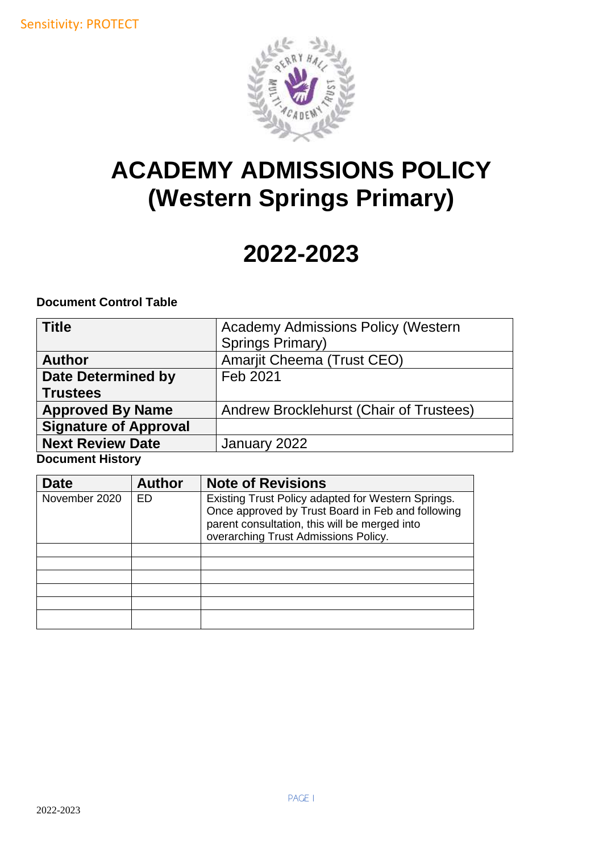

# **ACADEMY ADMISSIONS POLICY (Western Springs Primary)**

# **2022-2023**

**Document Control Table** 

| <b>Title</b>                 | <b>Academy Admissions Policy (Western</b> |
|------------------------------|-------------------------------------------|
|                              | Springs Primary)                          |
| <b>Author</b>                | <b>Amarjit Cheema (Trust CEO)</b>         |
| <b>Date Determined by</b>    | Feb 2021                                  |
| <b>Trustees</b>              |                                           |
| <b>Approved By Name</b>      | Andrew Brocklehurst (Chair of Trustees)   |
| <b>Signature of Approval</b> |                                           |
| <b>Next Review Date</b>      | January 2022                              |
| Dooumont History             |                                           |

**Document History**

| Date          | <b>Author</b> | <b>Note of Revisions</b>                                                                                                                                                                         |
|---------------|---------------|--------------------------------------------------------------------------------------------------------------------------------------------------------------------------------------------------|
| November 2020 | ED            | Existing Trust Policy adapted for Western Springs.<br>Once approved by Trust Board in Feb and following<br>parent consultation, this will be merged into<br>overarching Trust Admissions Policy. |
|               |               |                                                                                                                                                                                                  |
|               |               |                                                                                                                                                                                                  |
|               |               |                                                                                                                                                                                                  |
|               |               |                                                                                                                                                                                                  |
|               |               |                                                                                                                                                                                                  |
|               |               |                                                                                                                                                                                                  |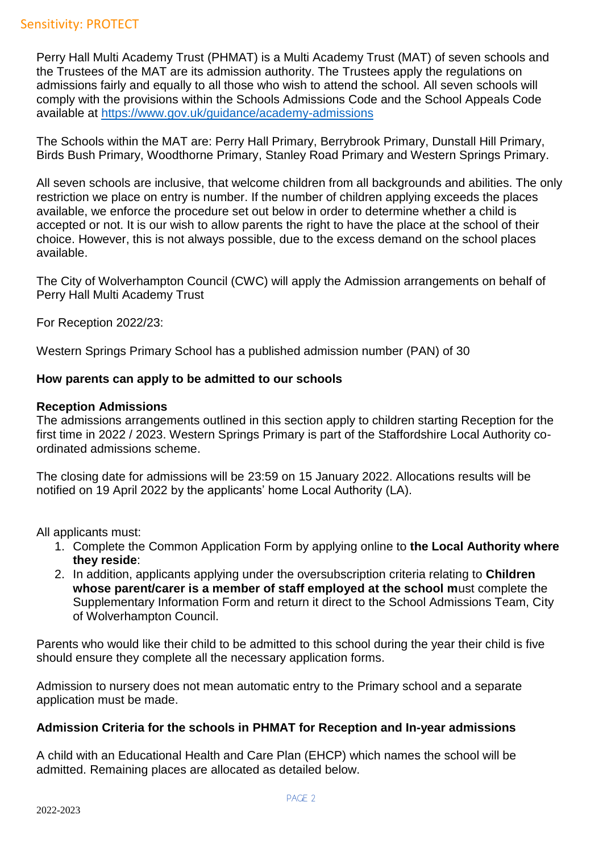Perry Hall Multi Academy Trust (PHMAT) is a Multi Academy Trust (MAT) of seven schools and the Trustees of the MAT are its admission authority. The Trustees apply the regulations on admissions fairly and equally to all those who wish to attend the school. All seven schools will comply with the provisions within the Schools Admissions Code and the School Appeals Code available at<https://www.gov.uk/guidance/academy-admissions>

The Schools within the MAT are: Perry Hall Primary, Berrybrook Primary, Dunstall Hill Primary, Birds Bush Primary, Woodthorne Primary, Stanley Road Primary and Western Springs Primary.

All seven schools are inclusive, that welcome children from all backgrounds and abilities. The only restriction we place on entry is number. If the number of children applying exceeds the places available, we enforce the procedure set out below in order to determine whether a child is accepted or not. It is our wish to allow parents the right to have the place at the school of their choice. However, this is not always possible, due to the excess demand on the school places available.

The City of Wolverhampton Council (CWC) will apply the Admission arrangements on behalf of Perry Hall Multi Academy Trust

For Reception 2022/23:

Western Springs Primary School has a published admission number (PAN) of 30

## **How parents can apply to be admitted to our schools**

## **Reception Admissions**

The admissions arrangements outlined in this section apply to children starting Reception for the first time in 2022 / 2023. Western Springs Primary is part of the Staffordshire Local Authority coordinated admissions scheme.

The closing date for admissions will be 23:59 on 15 January 2022. Allocations results will be notified on 19 April 2022 by the applicants' home Local Authority (LA).

All applicants must:

- 1. Complete the Common Application Form by applying online to **the Local Authority where they reside**:
- 2. In addition, applicants applying under the oversubscription criteria relating to **Children whose parent/carer is a member of staff employed at the school m**ust complete the Supplementary Information Form and return it direct to the School Admissions Team, City of Wolverhampton Council.

Parents who would like their child to be admitted to this school during the year their child is five should ensure they complete all the necessary application forms.

Admission to nursery does not mean automatic entry to the Primary school and a separate application must be made.

## **Admission Criteria for the schools in PHMAT for Reception and In-year admissions**

A child with an Educational Health and Care Plan (EHCP) which names the school will be admitted. Remaining places are allocated as detailed below.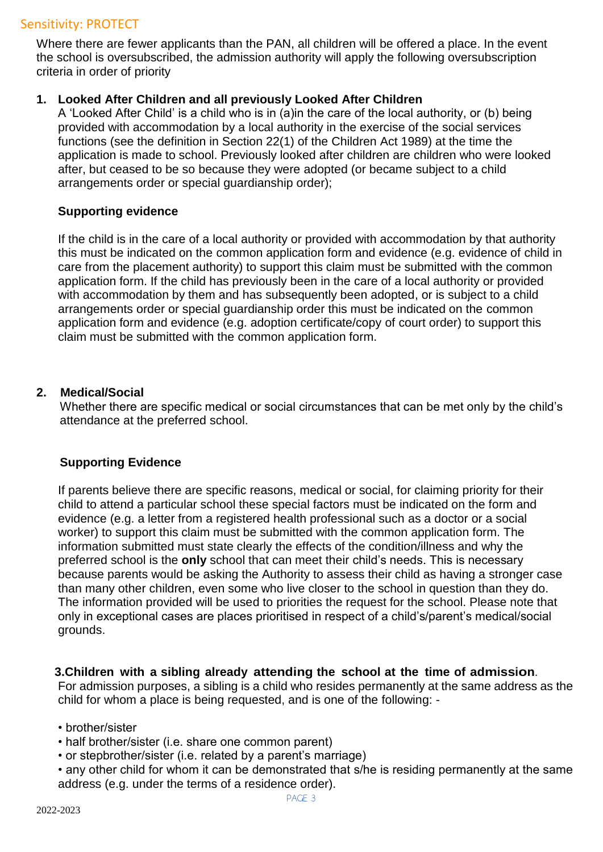# Sensitivity: PROTECT

Where there are fewer applicants than the PAN, all children will be offered a place. In the event the school is oversubscribed, the admission authority will apply the following oversubscription criteria in order of priority

### **1. Looked After Children and all previously Looked After Children**

A 'Looked After Child' is a child who is in (a)in the care of the local authority, or (b) being provided with accommodation by a local authority in the exercise of the social services functions (see the definition in Section 22(1) of the Children Act 1989) at the time the application is made to school. Previously looked after children are children who were looked after, but ceased to be so because they were adopted (or became subject to a child arrangements order or special guardianship order);

#### **Supporting evidence**

If the child is in the care of a local authority or provided with accommodation by that authority this must be indicated on the common application form and evidence (e.g. evidence of child in care from the placement authority) to support this claim must be submitted with the common application form. If the child has previously been in the care of a local authority or provided with accommodation by them and has subsequently been adopted, or is subject to a child arrangements order or special guardianship order this must be indicated on the common application form and evidence (e.g. adoption certificate/copy of court order) to support this claim must be submitted with the common application form.

## **2. Medical/Social**

Whether there are specific medical or social circumstances that can be met only by the child's attendance at the preferred school.

## **Supporting Evidence**

If parents believe there are specific reasons, medical or social, for claiming priority for their child to attend a particular school these special factors must be indicated on the form and evidence (e.g. a letter from a registered health professional such as a doctor or a social worker) to support this claim must be submitted with the common application form. The information submitted must state clearly the effects of the condition/illness and why the preferred school is the **only** school that can meet their child's needs. This is necessary because parents would be asking the Authority to assess their child as having a stronger case than many other children, even some who live closer to the school in question than they do. The information provided will be used to priorities the request for the school. Please note that only in exceptional cases are places prioritised in respect of a child's/parent's medical/social grounds.

## **3.Children with a sibling already attending the school at the time of admission**.

For admission purposes, a sibling is a child who resides permanently at the same address as the child for whom a place is being requested, and is one of the following: -

- brother/sister
- half brother/sister (i.e. share one common parent)
- or stepbrother/sister (i.e. related by a parent's marriage)
- any other child for whom it can be demonstrated that s/he is residing permanently at the same address (e.g. under the terms of a residence order).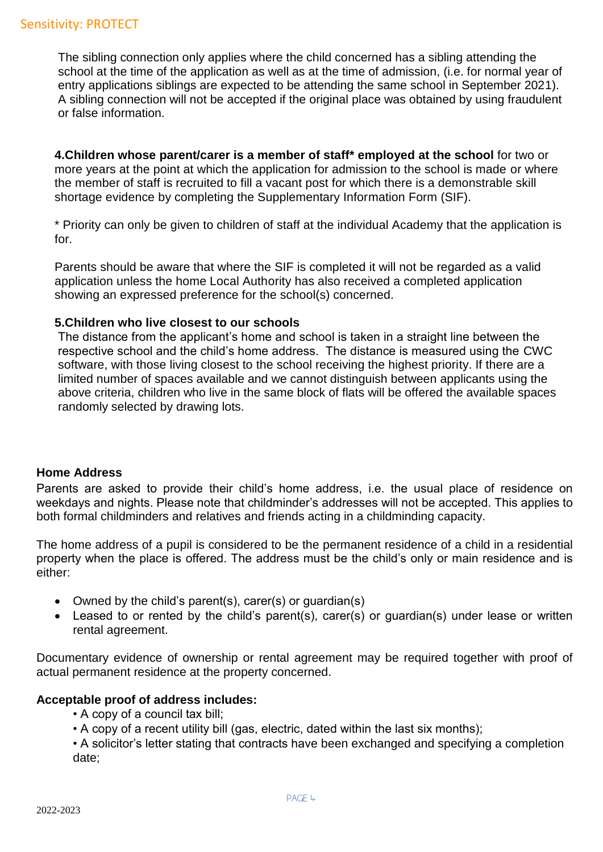The sibling connection only applies where the child concerned has a sibling attending the school at the time of the application as well as at the time of admission, (i.e. for normal year of entry applications siblings are expected to be attending the same school in September 2021). A sibling connection will not be accepted if the original place was obtained by using fraudulent or false information.

**4.Children whose parent/carer is a member of staff\* employed at the school** for two or more years at the point at which the application for admission to the school is made or where the member of staff is recruited to fill a vacant post for which there is a demonstrable skill shortage evidence by completing the Supplementary Information Form (SIF).

\* Priority can only be given to children of staff at the individual Academy that the application is for.

Parents should be aware that where the SIF is completed it will not be regarded as a valid application unless the home Local Authority has also received a completed application showing an expressed preference for the school(s) concerned.

## **5.Children who live closest to our schools**

The distance from the applicant's home and school is taken in a straight line between the respective school and the child's home address. The distance is measured using the CWC software, with those living closest to the school receiving the highest priority. If there are a limited number of spaces available and we cannot distinguish between applicants using the above criteria, children who live in the same block of flats will be offered the available spaces randomly selected by drawing lots.

## **Home Address**

Parents are asked to provide their child's home address, i.e. the usual place of residence on weekdays and nights. Please note that childminder's addresses will not be accepted. This applies to both formal childminders and relatives and friends acting in a childminding capacity.

The home address of a pupil is considered to be the permanent residence of a child in a residential property when the place is offered. The address must be the child's only or main residence and is either:

- Owned by the child's parent(s), carer(s) or guardian(s)
- Leased to or rented by the child's parent(s), carer(s) or guardian(s) under lease or written rental agreement.

Documentary evidence of ownership or rental agreement may be required together with proof of actual permanent residence at the property concerned.

## **Acceptable proof of address includes:**

- A copy of a council tax bill;
- A copy of a recent utility bill (gas, electric, dated within the last six months);
- A solicitor's letter stating that contracts have been exchanged and specifying a completion date;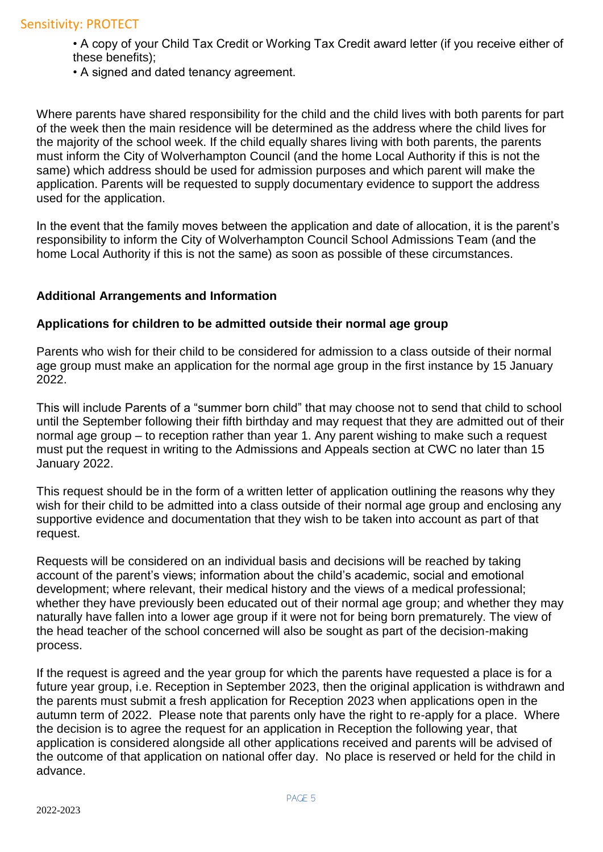- A copy of your Child Tax Credit or Working Tax Credit award letter (if you receive either of these benefits);
- A signed and dated tenancy agreement.

Where parents have shared responsibility for the child and the child lives with both parents for part of the week then the main residence will be determined as the address where the child lives for the majority of the school week. If the child equally shares living with both parents, the parents must inform the City of Wolverhampton Council (and the home Local Authority if this is not the same) which address should be used for admission purposes and which parent will make the application. Parents will be requested to supply documentary evidence to support the address used for the application.

In the event that the family moves between the application and date of allocation, it is the parent's responsibility to inform the City of Wolverhampton Council School Admissions Team (and the home Local Authority if this is not the same) as soon as possible of these circumstances.

## **Additional Arrangements and Information**

## **Applications for children to be admitted outside their normal age group**

Parents who wish for their child to be considered for admission to a class outside of their normal age group must make an application for the normal age group in the first instance by 15 January 2022.

This will include Parents of a "summer born child" that may choose not to send that child to school until the September following their fifth birthday and may request that they are admitted out of their normal age group – to reception rather than year 1. Any parent wishing to make such a request must put the request in writing to the Admissions and Appeals section at CWC no later than 15 January 2022.

This request should be in the form of a written letter of application outlining the reasons why they wish for their child to be admitted into a class outside of their normal age group and enclosing any supportive evidence and documentation that they wish to be taken into account as part of that request.

Requests will be considered on an individual basis and decisions will be reached by taking account of the parent's views; information about the child's academic, social and emotional development; where relevant, their medical history and the views of a medical professional; whether they have previously been educated out of their normal age group; and whether they may naturally have fallen into a lower age group if it were not for being born prematurely. The view of the head teacher of the school concerned will also be sought as part of the decision-making process.

If the request is agreed and the year group for which the parents have requested a place is for a future year group, i.e. Reception in September 2023, then the original application is withdrawn and the parents must submit a fresh application for Reception 2023 when applications open in the autumn term of 2022. Please note that parents only have the right to re-apply for a place. Where the decision is to agree the request for an application in Reception the following year, that application is considered alongside all other applications received and parents will be advised of the outcome of that application on national offer day. No place is reserved or held for the child in advance.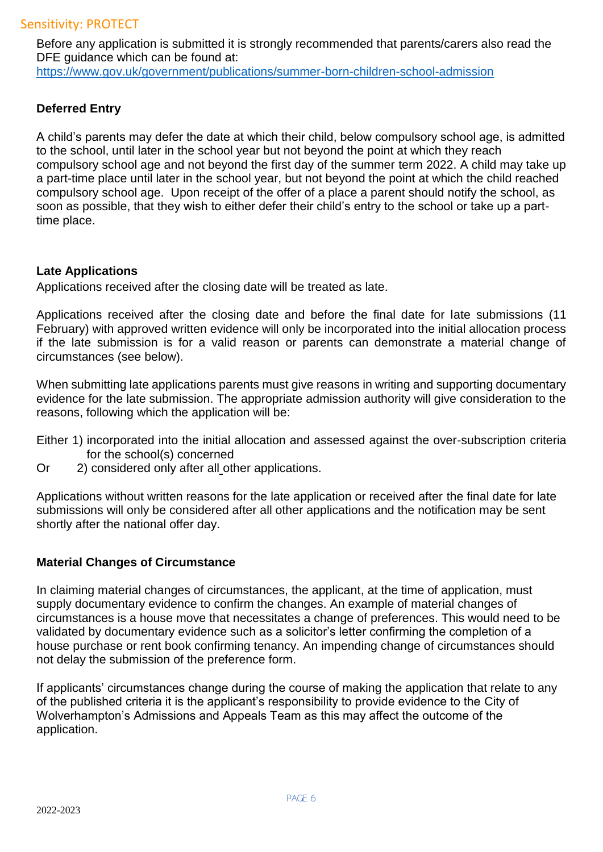Before any application is submitted it is strongly recommended that parents/carers also read the DFE quidance which can be found at: <https://www.gov.uk/government/publications/summer-born-children-school-admission>

# **Deferred Entry**

A child's parents may defer the date at which their child, below compulsory school age, is admitted to the school, until later in the school year but not beyond the point at which they reach compulsory school age and not beyond the first day of the summer term 2022. A child may take up a part-time place until later in the school year, but not beyond the point at which the child reached compulsory school age. Upon receipt of the offer of a place a parent should notify the school, as soon as possible, that they wish to either defer their child's entry to the school or take up a parttime place.

## **Late Applications**

Applications received after the closing date will be treated as late.

Applications received after the closing date and before the final date for late submissions (11 February) with approved written evidence will only be incorporated into the initial allocation process if the late submission is for a valid reason or parents can demonstrate a material change of circumstances (see below).

When submitting late applications parents must give reasons in writing and supporting documentary evidence for the late submission. The appropriate admission authority will give consideration to the reasons, following which the application will be:

- Either 1) incorporated into the initial allocation and assessed against the over-subscription criteria for the school(s) concerned
- Or 2) considered only after all other applications.

Applications without written reasons for the late application or received after the final date for late submissions will only be considered after all other applications and the notification may be sent shortly after the national offer day.

## **Material Changes of Circumstance**

In claiming material changes of circumstances, the applicant, at the time of application, must supply documentary evidence to confirm the changes. An example of material changes of circumstances is a house move that necessitates a change of preferences. This would need to be validated by documentary evidence such as a solicitor's letter confirming the completion of a house purchase or rent book confirming tenancy. An impending change of circumstances should not delay the submission of the preference form.

If applicants' circumstances change during the course of making the application that relate to any of the published criteria it is the applicant's responsibility to provide evidence to the City of Wolverhampton's Admissions and Appeals Team as this may affect the outcome of the application.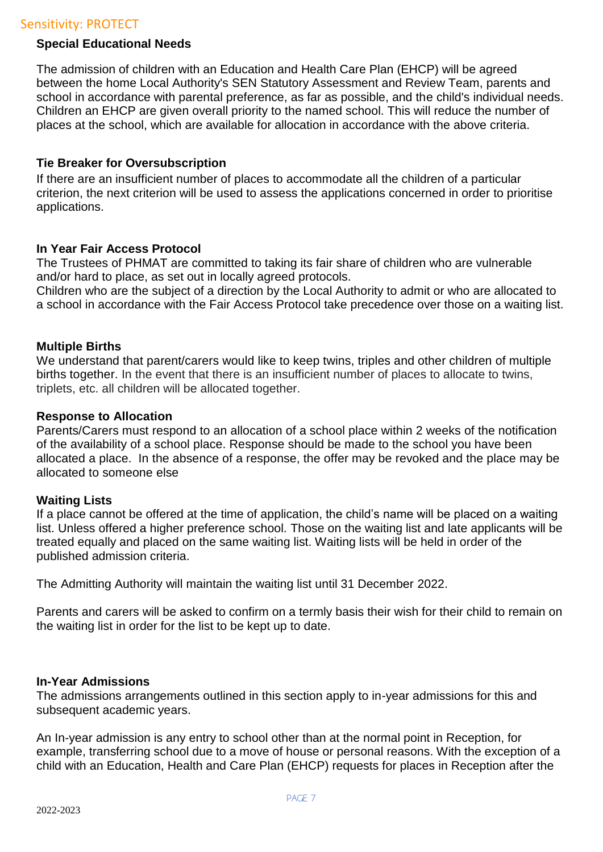## Sensitivity: PROTECT

### **Special Educational Needs**

The admission of children with an Education and Health Care Plan (EHCP) will be agreed between the home Local Authority's SEN Statutory Assessment and Review Team, parents and school in accordance with parental preference, as far as possible, and the child's individual needs. Children an EHCP are given overall priority to the named school. This will reduce the number of places at the school, which are available for allocation in accordance with the above criteria.

#### **Tie Breaker for Oversubscription**

If there are an insufficient number of places to accommodate all the children of a particular criterion, the next criterion will be used to assess the applications concerned in order to prioritise applications.

## **In Year Fair Access Protocol**

The Trustees of PHMAT are committed to taking its fair share of children who are vulnerable and/or hard to place, as set out in locally agreed protocols.

Children who are the subject of a direction by the Local Authority to admit or who are allocated to a school in accordance with the Fair Access Protocol take precedence over those on a waiting list.

## **Multiple Births**

We understand that parent/carers would like to keep twins, triples and other children of multiple births together. In the event that there is an insufficient number of places to allocate to twins, triplets, etc. all children will be allocated together.

#### **Response to Allocation**

Parents/Carers must respond to an allocation of a school place within 2 weeks of the notification of the availability of a school place. Response should be made to the school you have been allocated a place. In the absence of a response, the offer may be revoked and the place may be allocated to someone else

#### **Waiting Lists**

If a place cannot be offered at the time of application, the child's name will be placed on a waiting list. Unless offered a higher preference school. Those on the waiting list and late applicants will be treated equally and placed on the same waiting list. Waiting lists will be held in order of the published admission criteria.

The Admitting Authority will maintain the waiting list until 31 December 2022.

Parents and carers will be asked to confirm on a termly basis their wish for their child to remain on the waiting list in order for the list to be kept up to date.

#### **In-Year Admissions**

The admissions arrangements outlined in this section apply to in-year admissions for this and subsequent academic years.

An In-year admission is any entry to school other than at the normal point in Reception, for example, transferring school due to a move of house or personal reasons. With the exception of a child with an Education, Health and Care Plan (EHCP) requests for places in Reception after the